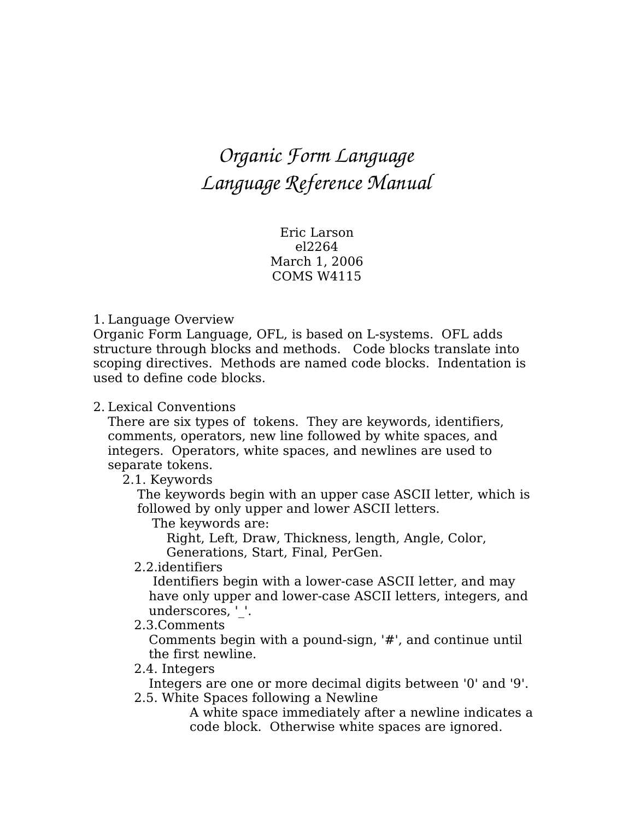# *Organic Form Language Language Reference Manual*

Eric Larson el2264 March 1, 2006 COMS W4115

#### 1. Language Overview

Organic Form Language, OFL, is based on L-systems. OFL adds structure through blocks and methods. Code blocks translate into scoping directives. Methods are named code blocks. Indentation is used to define code blocks.

#### 2. Lexical Conventions

There are six types of tokens. They are keywords, identifiers, comments, operators, new line followed by white spaces, and integers. Operators, white spaces, and newlines are used to separate tokens.

2.1. Keywords

The keywords begin with an upper case ASCII letter, which is followed by only upper and lower ASCII letters.

The keywords are:

Right, Left, Draw, Thickness, length, Angle, Color, Generations, Start, Final, PerGen.

2.2.identifiers

Identifiers begin with a lower-case ASCII letter, and may have only upper and lower-case ASCII letters, integers, and underscores, ' '.

2.3.Comments

Comments begin with a pound-sign, '#', and continue until the first newline.

#### 2.4. Integers

Integers are one or more decimal digits between '0' and '9'. 2.5. White Spaces following a Newline

A white space immediately after a newline indicates a code block. Otherwise white spaces are ignored.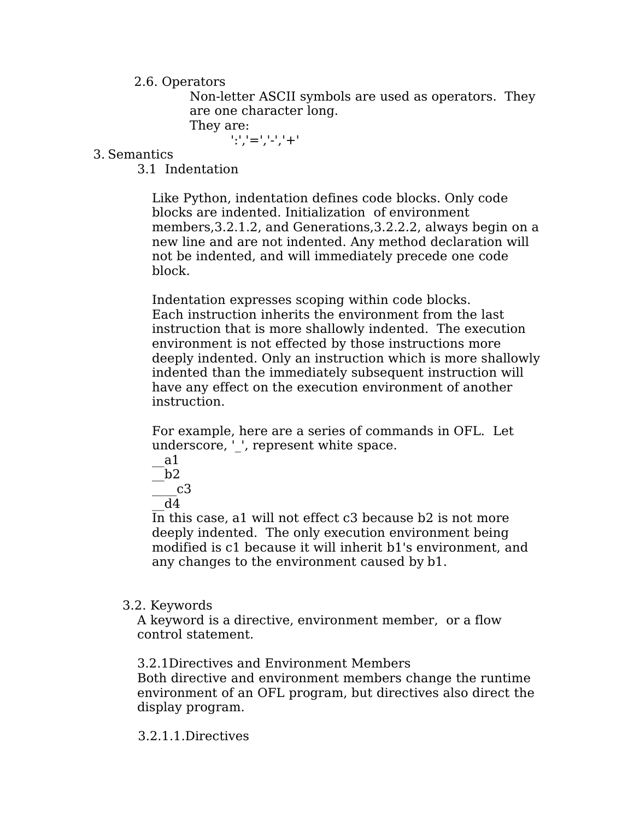# 2.6. Operators

Non-letter ASCII symbols are used as operators. They are one character long.

They are:

':','=','-','+'

3. Semantics

3.1 Indentation

Like Python, indentation defines code blocks. Only code blocks are indented. Initialization of environment members,3.2.1.2, and Generations,3.2.2.2, always begin on a new line and are not indented. Any method declaration will not be indented, and will immediately precede one code block.

Indentation expresses scoping within code blocks. Each instruction inherits the environment from the last instruction that is more shallowly indented. The execution environment is not effected by those instructions more deeply indented. Only an instruction which is more shallowly indented than the immediately subsequent instruction will have any effect on the execution environment of another instruction.

For example, here are a series of commands in OFL. Let underscore, ' ', represent white space.



In this case, a1 will not effect c3 because b2 is not more deeply indented. The only execution environment being modified is c1 because it will inherit b1's environment, and any changes to the environment caused by b1.

## 3.2. Keywords

A keyword is a directive, environment member, or a flow control statement.

3.2.1Directives and Environment Members

Both directive and environment members change the runtime environment of an OFL program, but directives also direct the display program.

## 3.2.1.1.Directives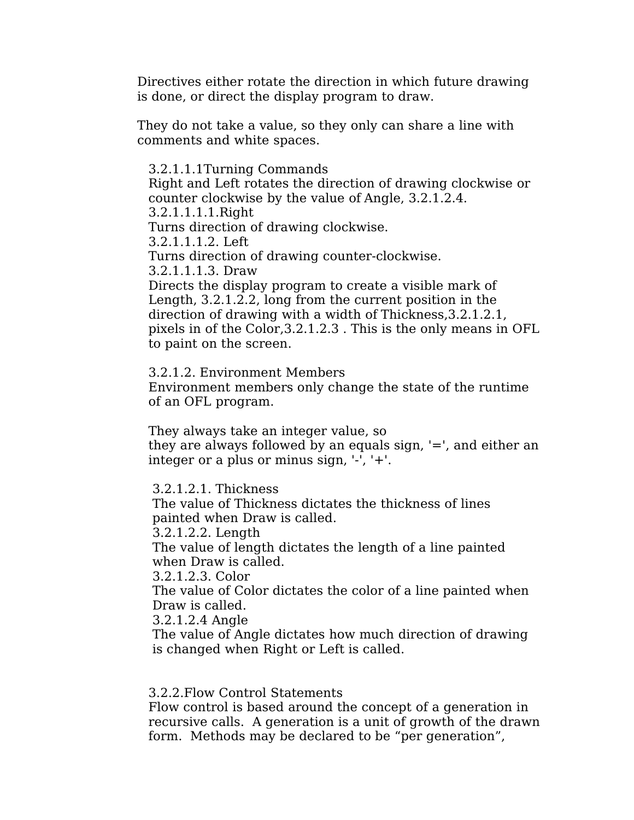Directives either rotate the direction in which future drawing is done, or direct the display program to draw.

They do not take a value, so they only can share a line with comments and white spaces.

3.2.1.1.1Turning Commands Right and Left rotates the direction of drawing clockwise or counter clockwise by the value of Angle, 3.2.1.2.4. 3.2.1.1.1.1.Right Turns direction of drawing clockwise. 3.2.1.1.1.2. Left Turns direction of drawing counter-clockwise. 3.2.1.1.1.3. Draw Directs the display program to create a visible mark of Length, 3.2.1.2.2, long from the current position in the direction of drawing with a width of Thickness,3.2.1.2.1, pixels in of the Color,3.2.1.2.3 . This is the only means in OFL

to paint on the screen.

3.2.1.2. Environment Members Environment members only change the state of the runtime of an OFL program.

They always take an integer value, so they are always followed by an equals sign, '=', and either an integer or a plus or minus sign, '-', '+'.

3.2.1.2.1. Thickness

The value of Thickness dictates the thickness of lines painted when Draw is called.

3.2.1.2.2. Length

The value of length dictates the length of a line painted when Draw is called.

3.2.1.2.3. Color

The value of Color dictates the color of a line painted when Draw is called.

3.2.1.2.4 Angle

The value of Angle dictates how much direction of drawing is changed when Right or Left is called.

3.2.2.Flow Control Statements

Flow control is based around the concept of a generation in recursive calls. A generation is a unit of growth of the drawn form. Methods may be declared to be "per generation",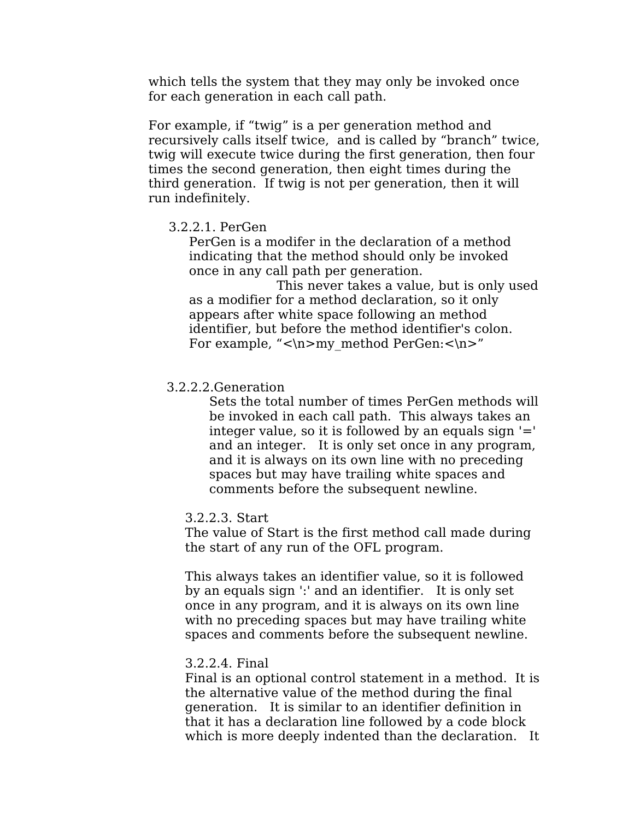which tells the system that they may only be invoked once for each generation in each call path.

For example, if "twig" is a per generation method and recursively calls itself twice, and is called by "branch" twice, twig will execute twice during the first generation, then four times the second generation, then eight times during the third generation. If twig is not per generation, then it will run indefinitely.

#### 3.2.2.1. PerGen

PerGen is a modifer in the declaration of a method indicating that the method should only be invoked once in any call path per generation.

This never takes a value, but is only used as a modifier for a method declaration, so it only appears after white space following an method identifier, but before the method identifier's colon. For example, " $\mathbf{m}$  method PerGen: $\mathbf{m}$ "

## 3.2.2.2.Generation

Sets the total number of times PerGen methods will be invoked in each call path. This always takes an integer value, so it is followed by an equals sign  $'$ =' and an integer. It is only set once in any program, and it is always on its own line with no preceding spaces but may have trailing white spaces and comments before the subsequent newline.

#### 3.2.2.3. Start

The value of Start is the first method call made during the start of any run of the OFL program.

This always takes an identifier value, so it is followed by an equals sign ':' and an identifier. It is only set once in any program, and it is always on its own line with no preceding spaces but may have trailing white spaces and comments before the subsequent newline.

#### 3.2.2.4. Final

Final is an optional control statement in a method. It is the alternative value of the method during the final generation. It is similar to an identifier definition in that it has a declaration line followed by a code block which is more deeply indented than the declaration. It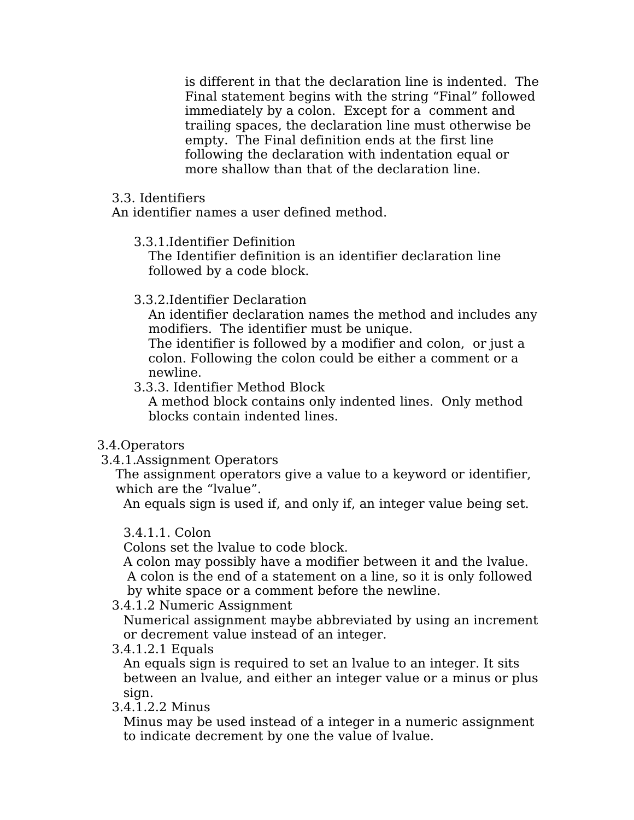is different in that the declaration line is indented. The Final statement begins with the string "Final" followed immediately by a colon. Except for a comment and trailing spaces, the declaration line must otherwise be empty. The Final definition ends at the first line following the declaration with indentation equal or more shallow than that of the declaration line.

# 3.3. Identifiers

An identifier names a user defined method.

3.3.1.Identifier Definition

The Identifier definition is an identifier declaration line followed by a code block.

3.3.2.Identifier Declaration

An identifier declaration names the method and includes any modifiers. The identifier must be unique.

The identifier is followed by a modifier and colon, or just a colon. Following the colon could be either a comment or a newline.

3.3.3. Identifier Method Block

A method block contains only indented lines. Only method blocks contain indented lines.

- 3.4.Operators
- 3.4.1.Assignment Operators

The assignment operators give a value to a keyword or identifier, which are the "lvalue".

An equals sign is used if, and only if, an integer value being set.

# 3.4.1.1. Colon

Colons set the lvalue to code block.

A colon may possibly have a modifier between it and the lvalue. A colon is the end of a statement on a line, so it is only followed by white space or a comment before the newline.

3.4.1.2 Numeric Assignment

Numerical assignment maybe abbreviated by using an increment or decrement value instead of an integer.

3.4.1.2.1 Equals

An equals sign is required to set an lvalue to an integer. It sits between an lvalue, and either an integer value or a minus or plus sign.

3.4.1.2.2 Minus

Minus may be used instead of a integer in a numeric assignment to indicate decrement by one the value of lvalue.